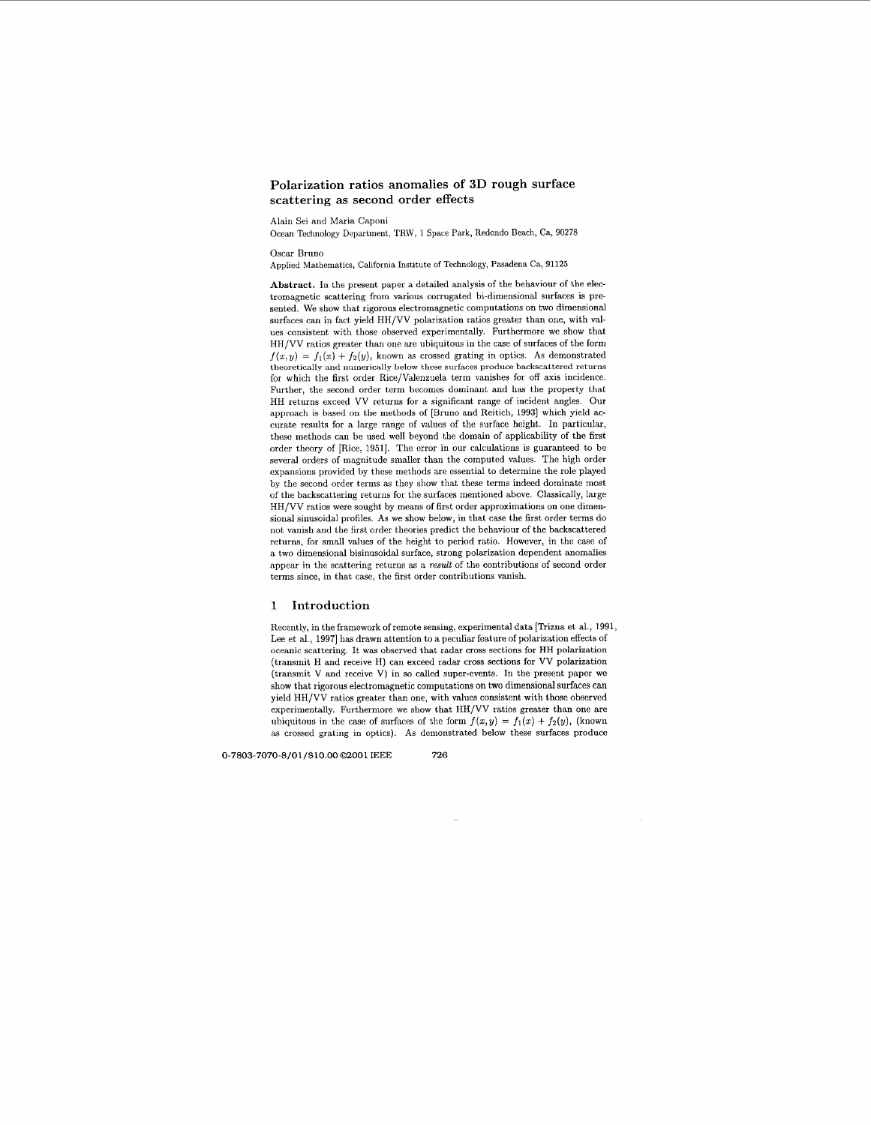# **Polarization ratios anomalies of 3D rough surface scattering as second order effects**

Alain Sei and Maria Caponi

Ocean Technology Department, TRW, 1 Space **Park,** Redondo Beach, Ca, **90278** 

Oscar Bruno

Applied Mathematics, California Institute of Technology, Pasadena Ca, **91125** 

**Abstract.** In the present paper a detailed analysis of the behaviour of the electromagnetic scattering from various corrugated hi-dimensional surfaces is presented. We show that rigorous electromagnetic computations on two dimensional surfaces can in fact yield HH/VV polarization ratios greater than one, with values consistent with those observed experimentally. Furthermore we show that HH/VV ratios greater than one are ubiquitous in the case of snrfaces of the form  $f(x,y) = f_1(x) + f_2(y)$ , known as crossed grating in optics. As demonstrated theoretically and numerically below these surfaces produce backscattered returns for which the first order Rice/Valenzuela term vanishes for off axis incidence. Further, the second order term becomes dominant and has the property that HH returns exceed VV returns for a significant range of incident angles. Our approach is based on the methods of [Bruno and Reitich, **19931** which yield accurate results for a large range of values of the surface height. In particular, these methods can be used well beyond the domain of applicability of the first order theory of [Rice, 19511. The error in our calculations is guaranteed to be several orders of magnitude smaller than the computed values. The high order expansions provided by these methods are essential to determine the role played by the second order terms **as** they show that these terms indeed dominate most of the backscattering returns for the surfaces mentioned above. Classically, large HH/VV ratios were sought by means of first order approximations on **one** dimensional sinusoidal profiles. As we show below, in that case the first order terms do not vanish and the first order theories predict the behaviour of the backscattered returns, for small values of the height to period ratio. However, in the case of a two dimensional bisinusoidal surface, strong polarization dependent anomalies appear in the scattering returns **as** a result of the contributions of second order terms since, in that case, the first order contributions vanish.

## **1 Introduction**

Recently, in the framework of remote sensing, experimental data [Trizna et al., 1991, Lee et al., 1997] has drawn attention to a peculiar feature of polarization effects of oceanic scattering. It was observed that radar cross sections for HH polarization (transmit H and receive H) can exceed radar cross sections for VV polarization (transmit V and receive V) in **so** called super-events. In the present paper we show that rigorous electromagnetic computations on two dimensional surfaces can yield HH/VV ratios greater than one, with values consistent with those observed experimentally. Furthermore we show that HH/VV ratios greater than one are ubiquitous in the case of surfaces of the form  $f(x,y) = f_1(x) + f_2(y)$ , (known as crossed grating in optics). As demonstrated below these surfaces produce

*0-7803-7070-8/0* **1 /\$10.00** *0200* **1 IEEE** *726* 

J,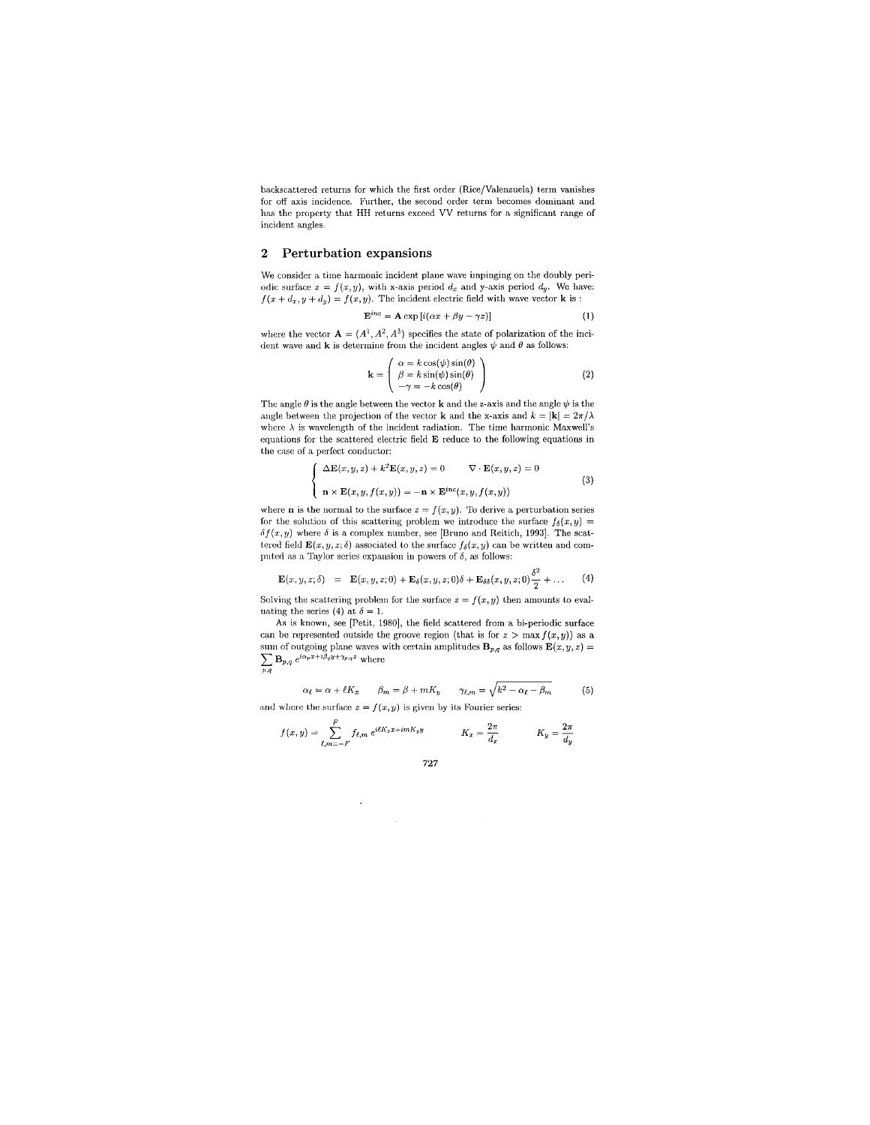backscattered returns for which the first order (Rice/Valenzuela) term vanishes for off axis incidence. Further, the second order term becomes dominant and has the property that HH returns exceed VV returns for a significant range of incident angles.

## **2 Perturbation expansions**

We consider a time harmonic incident plane wave impinging on the doubly periodic surface  $z = f(x, y)$ , with x-axis period  $d_x$  and y-axis period  $d_y$ . We have:  $f(x + d_x, y + d_y) = f(x, y)$ . The incident electric field with wave vector **k** is :<br>  $\mathbf{E}^{inc} = \mathbf{A} \exp[i(\alpha x + \beta y - \gamma z)]$  (1)

$$
\mathbf{E}^{inc} = \mathbf{A} \exp[i(\alpha x + \beta y - \gamma z)] \tag{1}
$$

where the vector  $\mathbf{A} = (A^1, A^2, A^3)$  specifies the state of polarization of the incident wave and  $\bf{k}$  is determine from the incident angles  $\psi$  and  $\theta$  as follows:

$$
\mathbf{k} = \begin{pmatrix} \alpha = k \cos(\psi) \sin(\theta) \\ \beta = k \sin(\psi) \sin(\theta) \\ -\gamma = -k \cos(\theta) \end{pmatrix}
$$
 (2)

The angle  $\theta$  is the angle between the vector **k** and the z-axis and the angle  $\psi$  is the angle between the projection of the vector  ${\bf k}$  and the x-axis and  $k = |{\bf k}| = 2\pi/\lambda$ where  $\lambda$  is wavelength of the incident radiation. The time harmonic Maxwell's equations for the scattered electric field E reduce to the following equations in the case of a perfect conductor:

$$
\begin{cases}\n\Delta \mathbf{E}(x, y, z) + k^2 \mathbf{E}(x, y, z) = 0 & \nabla \cdot \mathbf{E}(x, y, z) = 0 \\
n \times \mathbf{E}(x, y, f(x, y)) = -n \times \mathbf{E}^{inc}(x, y, f(x, y))\n\end{cases}
$$
\n(3)

where **n** is the normal to the surface  $z = f(x, y)$ . To derive a perturbation series for the solution of this scattering problem we introduce the surface  $f_{\delta}(x,y) =$  $\delta f(x, y)$  where  $\delta$  is a complex number, see [Bruno and Reitich, 1993]. The scattered field  $\mathbf{E}(x, y, z; \delta)$  associated to the surface  $f_{\delta}(x, y)$  can be written and computed as a Taylor series expansion in powers of  $\delta,$  as follows:

$$
\mathbf{E}(x,y,z;\delta) = \mathbf{E}(x,y,z;0) + \mathbf{E}_{\delta}(x,y,z;0)\delta + \mathbf{E}_{\delta\delta}(x,y,z;0)\frac{\delta^2}{2} + \dots
$$
 (4)

Solving the scattering problem for the surface  $z = f(x, y)$  then amounts to evaluating the series (4) at  $\delta = 1$ .

As is known, see [Petit, 1980], the field scattered from a bi-periodic surface can be represented outside the groove region (that is for  $z > \max f(x, y)$ ) as a sum of outgoing plane waves with certain amplitudes  $\mathbf{B}_{p,q}$  as follows  $\mathbf{E}(x, y, z) =$  $\sum_{p,q} \mathbf{B}_{p,q} e^{i\alpha_p x + i\beta_q y + \gamma_{p,q}}$ 

$$
\alpha_{\ell} = \alpha + \ell K_x \qquad \beta_m = \beta + mK_y \qquad \gamma_{\ell,m} = \sqrt{k^2 - \alpha_{\ell} - \beta_m} \tag{5}
$$

and where the surface  $z = f(x, y)$  is given by its Fourier series:

 $\ddot{\phantom{1}}$ 

$$
f(x,y) = \sum_{\ell,m=-F}^{F} f_{\ell,m} e^{i\ell K_x x + imK_y y} \qquad K_x = \frac{2\pi}{d_x} \qquad K_y = \frac{2\pi}{d_y}
$$

*727*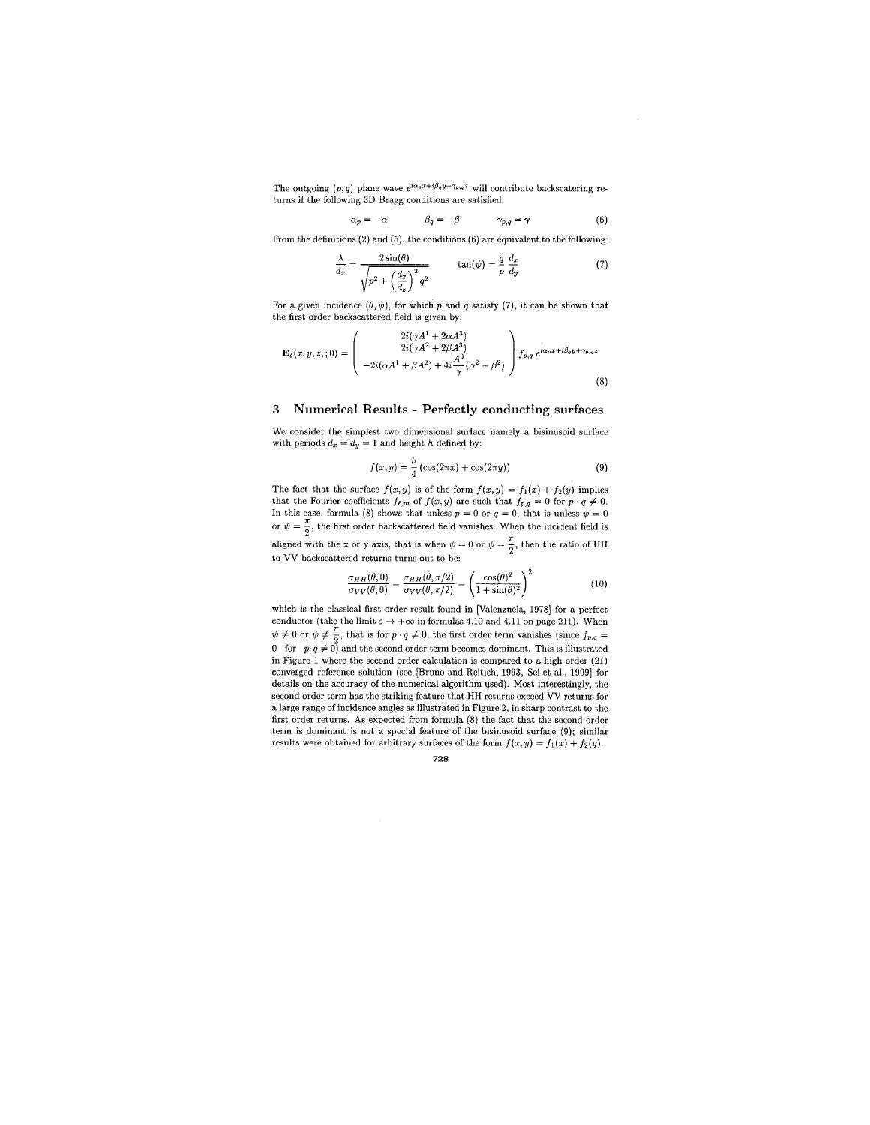The outgoing  $(p, q)$  plane wave  $e^{i\alpha_p x + i\beta_q y + \gamma_{p,q} z}$  will contribute backscatering returns if the following **3D** Bragg conditions are satisfied:

$$
\alpha_p = -\alpha \qquad \qquad \beta_q = -\beta \qquad \qquad \gamma_{p,q} = \gamma \qquad (6)
$$

From the definitions (2) and (5), the conditions (6) are equivalent to the following:

$$
\frac{\lambda}{d_x} = \frac{2\sin(\theta)}{\sqrt{p^2 + \left(\frac{d_x}{d_x}\right)^2 q^2}} \qquad \tan(\psi) = \frac{q}{p} \frac{d_x}{d_y} \tag{7}
$$

For a given incidence  $(\theta, \psi)$ , for which *p* and *q* satisfy (7), it can be shown that the first order hackscattered field is given by:

$$
\mathbf{E}_{\delta}(x, y, z, ; 0) = \begin{pmatrix} 2i(\gamma A^1 + 2\alpha A^3) \\ 2i(\gamma A^2 + 2\beta A^3) \\ -2i(\alpha A^1 + \beta A^2) + 4i\frac{A^3}{\gamma}(\alpha^2 + \beta^2) \end{pmatrix} f_{p,q} e^{i\alpha_p x + i\beta_q y + \gamma_{p,q} z}
$$
(8)

### **3 Numerical Results** - **Perfectly conducting surfaces**

We consider the simplest two dimensional surface namely **a** hisinusoid surface with periods  $d_x = d_y = 1$  and height *h* defined by:

$$
f(x,y) = \frac{h}{4} \left( \cos(2\pi x) + \cos(2\pi y) \right) \tag{9}
$$

The fact that the surface  $f(x,y)$  is of the form  $f(x,y) = f_1(x) + f_2(y)$  implies that the Fourier coefficients  $f_{\ell,m}$  of  $f(x,y)$  are such that  $f_{p,q} = 0$  for  $p \cdot q \neq 0$ .<br>In this case, formula (8) shows that unless  $p = 0$  or  $q = 0$ , that is unless  $\psi = 0$ or  $\psi = \frac{\pi}{2}$ , the first order backscattered field vanishes. When the incident field is aligned with the x or y axis, that is when  $\psi = 0$  or  $\psi = \frac{\pi}{2}$ , then the ratio of HH to VV hackscattered returns turns out to be:

$$
\frac{\sigma_{HH}(\theta,0)}{\sigma_{VV}(\theta,0)} = \frac{\sigma_{HH}(\theta,\pi/2)}{\sigma_{VV}(\theta,\pi/2)} = \left(\frac{\cos(\theta)^2}{1+\sin(\theta)^2}\right)^2\tag{10}
$$

which is the classical first order result found in [Valenzuela, 1978] for a perfect which is the classical list of the informulas 4.10 and 4.11 on page 211). When<br> $\psi \neq 0$  or  $\psi \neq \frac{\pi}{2}$ , that is for  $p \cdot q \neq 0$ , the first order term vanishes (since  $f_{p,q} = 0$  for  $p \cdot q \neq 0$ ) and the second order te in Figure 1 where the second order calculation is compared to **a** high order **(21)**  converged reference solution (see [Bruno and Reitich, **1993,** Sei et al., **19991** for details on the accuracy of the numerical algorithm used). Most interestingly, the second order term has the striking feature that HH returns exceed VV returns for a large range of incidence angles **as** illustrated in Figure 2, in sharp contrast. to the first order returns. **As** cxpccted from formula (8) the fact that the second order term is dominant is not a special feature of the bisinusoid surface **(9);** similar results were obtained for arbitrary surfaces of the form  $f(x,y) = f_1(x) + f_2(y)$ .

*728*